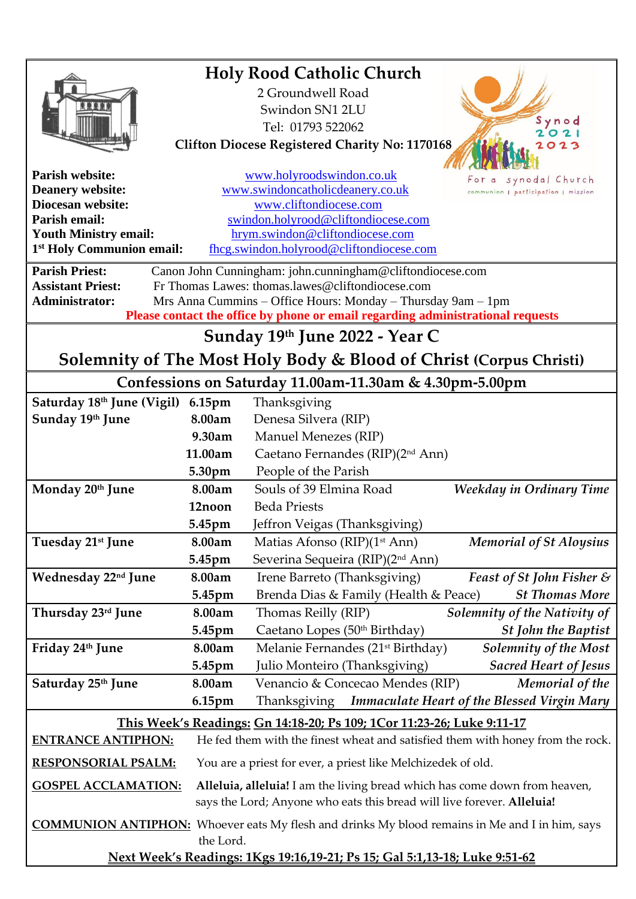| <b>Holy Rood Catholic Church</b>                                                |           |                                                                                                       |
|---------------------------------------------------------------------------------|-----------|-------------------------------------------------------------------------------------------------------|
|                                                                                 |           | 2 Groundwell Road                                                                                     |
|                                                                                 |           | Swindon SN1 2LU                                                                                       |
|                                                                                 |           | ynod                                                                                                  |
|                                                                                 |           | Tel: 01793 522062<br>2021                                                                             |
| <b>Clifton Diocese Registered Charity No: 1170168</b><br>023                    |           |                                                                                                       |
| <b>Parish website:</b>                                                          |           | www.holyroodswindon.co.uk<br>synodal Church                                                           |
| <b>Deanery website:</b>                                                         |           | www.swindoncatholicdeanery.co.uk<br>communion   participation   mission                               |
| <b>Diocesan website:</b>                                                        |           | www.cliftondiocese.com                                                                                |
| Parish email:                                                                   |           | swindon.holyrood@cliftondiocese.com                                                                   |
| <b>Youth Ministry email:</b>                                                    |           | hrym.swindon@cliftondiocese.com                                                                       |
| 1 <sup>st</sup> Holy Communion email:                                           |           | fhcg.swindon.holyrood@cliftondiocese.com                                                              |
| <b>Parish Priest:</b>                                                           |           | Canon John Cunningham: john.cunningham@cliftondiocese.com                                             |
| <b>Assistant Priest:</b>                                                        |           | Fr Thomas Lawes: thomas.lawes@cliftondiocese.com                                                      |
| <b>Administrator:</b>                                                           |           | Mrs Anna Cummins – Office Hours: Monday – Thursday 9am – 1pm                                          |
| Please contact the office by phone or email regarding administrational requests |           |                                                                                                       |
| Sunday 19th June 2022 - Year C                                                  |           |                                                                                                       |
| Solemnity of The Most Holy Body & Blood of Christ (Corpus Christi)              |           |                                                                                                       |
|                                                                                 |           | Confessions on Saturday 11.00am-11.30am & 4.30pm-5.00pm                                               |
| Saturday 18th June (Vigil)                                                      | 6.15pm    | Thanksgiving                                                                                          |
| Sunday 19th June                                                                | 8.00am    | Denesa Silvera (RIP)                                                                                  |
|                                                                                 | 9.30am    | Manuel Menezes (RIP)                                                                                  |
|                                                                                 | 11.00am   | Caetano Fernandes (RIP)(2 <sup>nd</sup> Ann)                                                          |
|                                                                                 | 5.30pm    | People of the Parish                                                                                  |
| Monday 20th June                                                                | 8.00am    | Souls of 39 Elmina Road<br>Weekday in Ordinary Time                                                   |
|                                                                                 | 12noon    | <b>Beda Priests</b>                                                                                   |
|                                                                                 | 5.45pm    | Jeffron Veigas (Thanksgiving)                                                                         |
| Tuesday 21 <sup>st</sup> June                                                   | 8.00am    | Matias Afonso (RIP)(1 <sup>st</sup> Ann)<br><b>Memorial of St Aloysius</b>                            |
|                                                                                 | 5.45pm    | Severina Sequeira (RIP)(2 <sup>nd</sup> Ann)                                                          |
| Wednesday 22 <sup>nd</sup> June                                                 | 8.00am    | Irene Barreto (Thanksgiving)<br><b>Feast of St John Fisher &amp;</b>                                  |
|                                                                                 | 5.45pm    | <b>St Thomas More</b><br>Brenda Dias & Family (Health & Peace)                                        |
| Thursday 23rd June                                                              | 8.00am    | Thomas Reilly (RIP)<br>Solemnity of the Nativity of                                                   |
|                                                                                 | 5.45pm    | Caetano Lopes (50th Birthday)<br><b>St John the Baptist</b>                                           |
| Friday 24th June                                                                | 8.00am    | Melanie Fernandes (21 <sup>st</sup> Birthday)<br>Solemnity of the Most                                |
|                                                                                 | 5.45pm    | Julio Monteiro (Thanksgiving)<br><b>Sacred Heart of Jesus</b>                                         |
| Saturday 25 <sup>th</sup> June                                                  | 8.00am    | Venancio & Concecao Mendes (RIP)<br>Memorial of the                                                   |
|                                                                                 | 6.15pm    | Thanksgiving<br><b>Immaculate Heart of the Blessed Virgin Mary</b>                                    |
| This Week's Readings: Gn 14:18-20; Ps 109; 1Cor 11:23-26; Luke 9:11-17          |           |                                                                                                       |
| <b>ENTRANCE ANTIPHON:</b>                                                       |           | He fed them with the finest wheat and satisfied them with honey from the rock.                        |
| <b>RESPONSORIAL PSALM:</b>                                                      |           | You are a priest for ever, a priest like Melchizedek of old.                                          |
| <b>GOSPEL ACCLAMATION:</b>                                                      |           | Alleluia, alleluia! I am the living bread which has come down from heaven,                            |
|                                                                                 |           | says the Lord; Anyone who eats this bread will live forever. Alleluia!                                |
|                                                                                 |           | <b>COMMUNION ANTIPHON:</b> Whoever eats My flesh and drinks My blood remains in Me and I in him, says |
|                                                                                 | the Lord. |                                                                                                       |
| Next Week's Readings: 1Kgs 19:16,19-21; Ps 15; Gal 5:1,13-18; Luke 9:51-62      |           |                                                                                                       |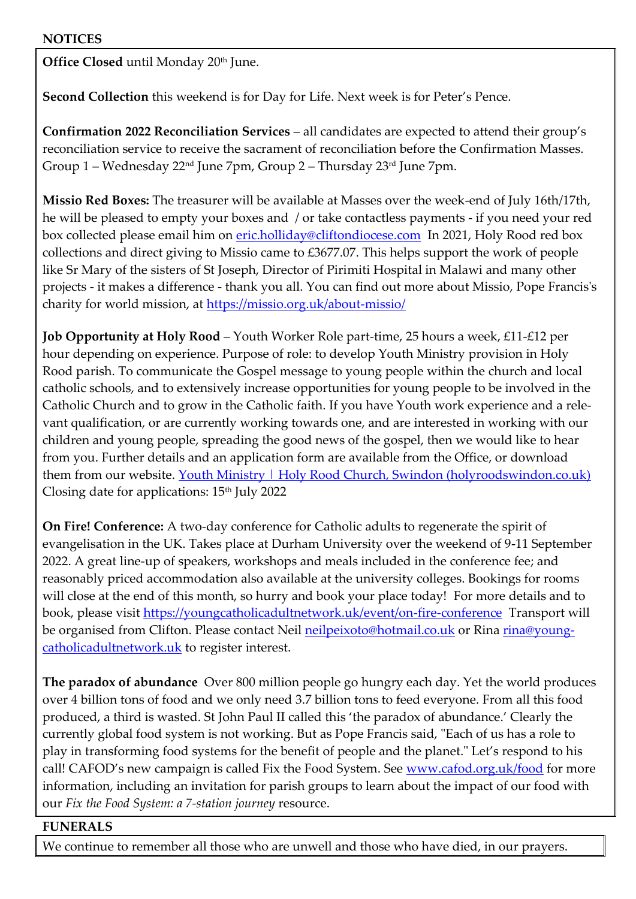**Office Closed** until Monday 20<sup>th</sup> June.

**Second Collection** this weekend is for Day for Life. Next week is for Peter's Pence.

**Confirmation 2022 Reconciliation Services** – all candidates are expected to attend their group's reconciliation service to receive the sacrament of reconciliation before the Confirmation Masses. Group 1 – Wednesday 22nd June 7pm, Group 2 – Thursday 23rd June 7pm.

**Missio Red Boxes:** The treasurer will be available at Masses over the week-end of July 16th/17th, he will be pleased to empty your boxes and / or take contactless payments - if you need your red box collected please email him on [eric.holliday@cliftondiocese.com](mailto:eric.holliday@cliftondiocese.com) In 2021, Holy Rood red box collections and direct giving to Missio came to £3677.07. This helps support the work of people like Sr Mary of the sisters of St Joseph, Director of Pirimiti Hospital in Malawi and many other projects - it makes a difference - thank you all. You can find out more about Missio, Pope Francis's charity for world mission, at<https://missio.org.uk/about-missio/>

**Job Opportunity at Holy Rood** – Youth Worker Role part-time, 25 hours a week, £11-£12 per hour depending on experience. Purpose of role: to develop Youth Ministry provision in Holy Rood parish. To communicate the Gospel message to young people within the church and local catholic schools, and to extensively increase opportunities for young people to be involved in the Catholic Church and to grow in the Catholic faith. If you have Youth work experience and a relevant qualification, or are currently working towards one, and are interested in working with our children and young people, spreading the good news of the gospel, then we would like to hear from you. Further details and an application form are available from the Office, or download them from our website. [Youth Ministry | Holy Rood Church, Swindon \(holyroodswindon.co.uk\)](https://eur02.safelinks.protection.outlook.com/?url=https%3A%2F%2Fwww.holyroodswindon.co.uk%2Fyouth-ministry&data=05%7C01%7Cswindon.holyrood%40cliftondiocese.com%7Ca9e74a0c9d8c4e56555208da42d98795%7Cf10b8f13604e4fa29e1204a7fad22e94%7C0%7C0%7C637895799552873662%7CUnknown%7CTWFpbGZsb3d8eyJWIjoiMC4wLjAwMDAiLCJQIjoiV2luMzIiLCJBTiI6Ik1haWwiLCJXVCI6Mn0%3D%7C3000%7C%7C%7C&sdata=or3mWJhL1NpsEBUhRXa0yEj23x7P2Ww07yYhF%2BxVK1k%3D&reserved=0) Closing date for applications: 15<sup>th</sup> July 2022

**On Fire! Conference:** A two-day conference for Catholic adults to regenerate the spirit of evangelisation in the UK. Takes place at Durham University over the weekend of 9-11 September 2022. A great line-up of speakers, workshops and meals included in the conference fee; and reasonably priced accommodation also available at the university colleges. Bookings for rooms will close at the end of this month, so hurry and book your place today! For more details and to book, please visit [https://youngcatholicadultnetwork.uk/event/on-fire-conference](https://eur02.safelinks.protection.outlook.com/?url=https%3A%2F%2Fyoungcatholicadultnetwork.uk%2Fevent%2Fon-fire-conference&data=05%7C01%7Cswindon.holyrood%40cliftondiocese.com%7C54c27b009dac4a52720708da3832942a%7Cf10b8f13604e4fa29e1204a7fad22e94%7C0%7C0%7C637884087123550524%7CUnknown%7CTWFpbGZsb3d8eyJWIjoiMC4wLjAwMDAiLCJQIjoiV2luMzIiLCJBTiI6Ik1haWwiLCJXVCI6Mn0%3D%7C3000%7C%7C%7C&sdata=tL5sPR%2Fbk4RiTr116QVeBrXTPm5Q35Y48tpkixoGN2M%3D&reserved=0) Transport will be organised from Clifton. Please contact Neil [neilpeixoto@hotmail.co.uk](mailto:neilpeixoto@hotmail.co.uk) or Rina [rina@young](mailto:rina@youngcatholicadultnetwork.uk)[catholicadultnetwork.uk](mailto:rina@youngcatholicadultnetwork.uk) to register interest.

**The paradox of abundance** Over 800 million people go hungry each day. Yet the world produces over 4 billion tons of food and we only need 3.7 billion tons to feed everyone. From all this food produced, a third is wasted. St John Paul II called this 'the paradox of abundance.' Clearly the currently global food system is not working. But as Pope Francis said, "Each of us has a role to play in transforming food systems for the benefit of people and the planet." Let's respond to his call! CAFOD's new campaign is called Fix the Food System. See [www.cafod.org.uk/food](https://eur02.safelinks.protection.outlook.com/?url=http%3A%2F%2Fwww.cafod.org.uk%2Ffood&data=05%7C01%7Cswindon.holyrood%40cliftondiocese.com%7Cdc98574291cf46f7d74a08da38166a65%7Cf10b8f13604e4fa29e1204a7fad22e94%7C0%7C0%7C637883966168429919%7CUnknown%7CTWFpbGZsb3d8eyJWIjoiMC4wLjAwMDAiLCJQIjoiV2luMzIiLCJBTiI6Ik1haWwiLCJXVCI6Mn0%3D%7C3000%7C%7C%7C&sdata=G%2FtIKIl4qoM4oxmGX8WHzYD%2BLgU6djx8Zu%2BSmGk1FXQ%3D&reserved=0) for more information, including an invitation for parish groups to learn about the impact of our food with our *Fix the Food System: a 7-station journey* resource.

## **FUNERALS**

We continue to remember all those who are unwell and those who have died, in our prayers.